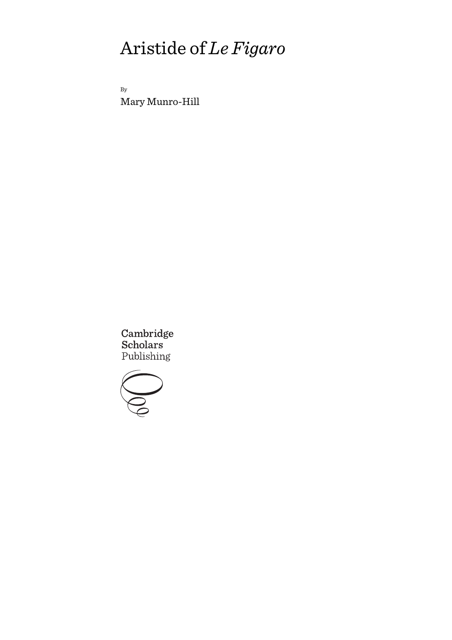By Mary Munro-Hill

Cambridge Scholars Publishing

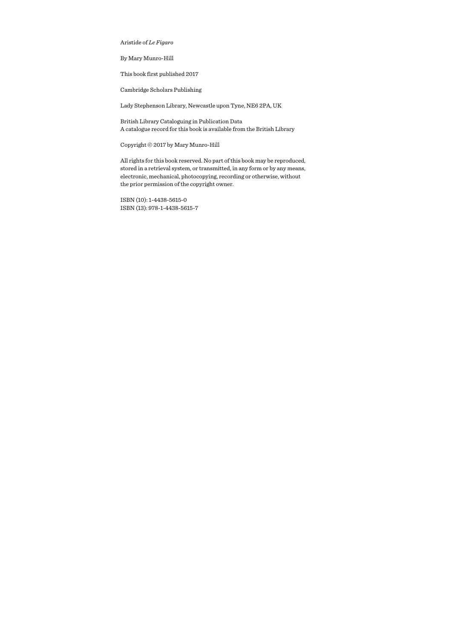By Mary Munro-Hill

This book first published 2017

Cambridge Scholars Publishing

Lady Stephenson Library, Newcastle upon Tyne, NE6 2PA, UK

British Library Cataloguing in Publication Data A catalogue record for this book is available from the British Library

Copyright © 2017 by Mary Munro-Hill

All rights for this book reserved. No part of this book may be reproduced, stored in a retrieval system, or transmitted, in any form or by any means, electronic, mechanical, photocopying, recording or otherwise, without the prior permission of the copyright owner.

ISBN (10): 1-4438-5615-0 ISBN (13): 978-1-4438-5615-7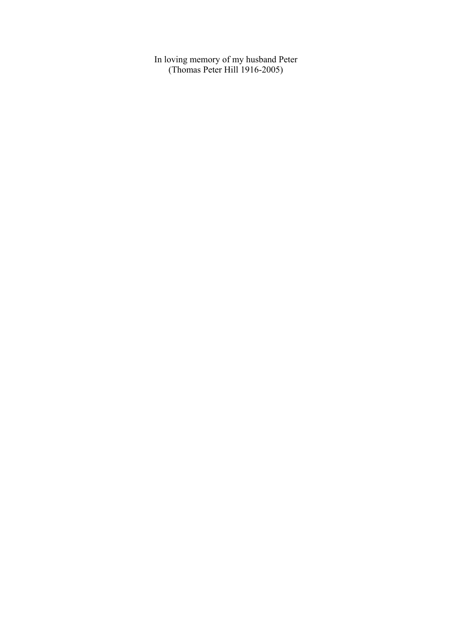In loving memory of my husband Peter (Thomas Peter Hill 1916-2005)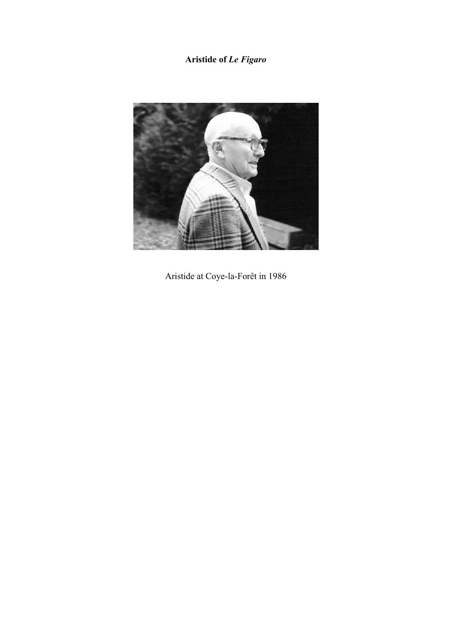

Aristide at Coye-la-Forêt in 1986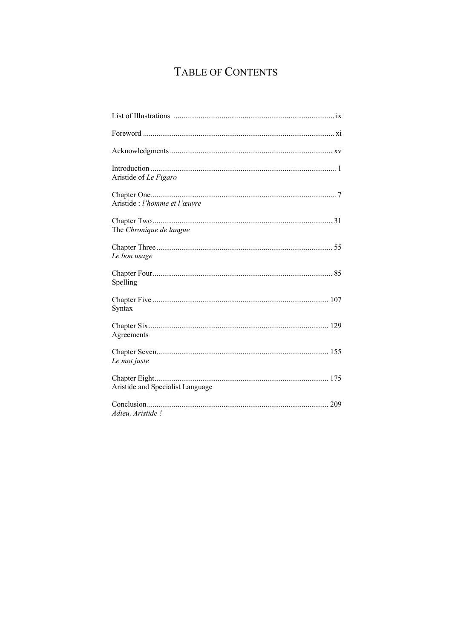# TABLE OF CONTENTS

| Aristide of Le Figaro            |
|----------------------------------|
| Aristide : l'homme et l'œuvre    |
| The Chronique de langue          |
| Le bon usage                     |
| Spelling                         |
| Syntax                           |
| Agreements                       |
| Le mot juste                     |
| Aristide and Specialist Language |
| Adieu, Aristide !                |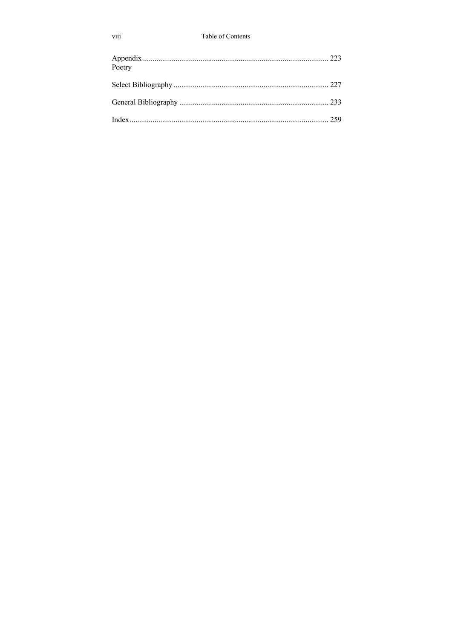#### Table of Contents

| Poetry |  |
|--------|--|
|        |  |
|        |  |
|        |  |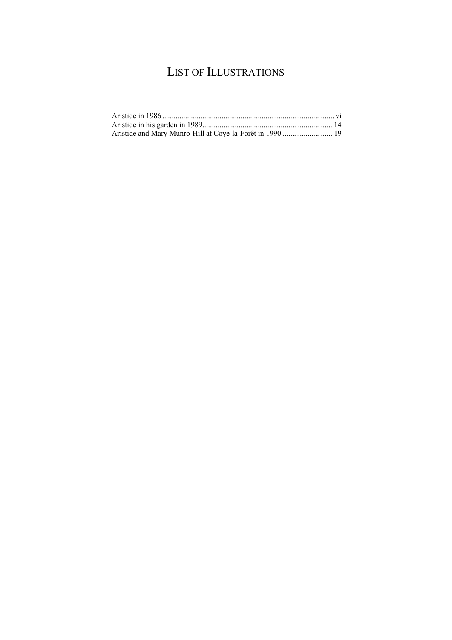# LIST OF ILLUSTRATIONS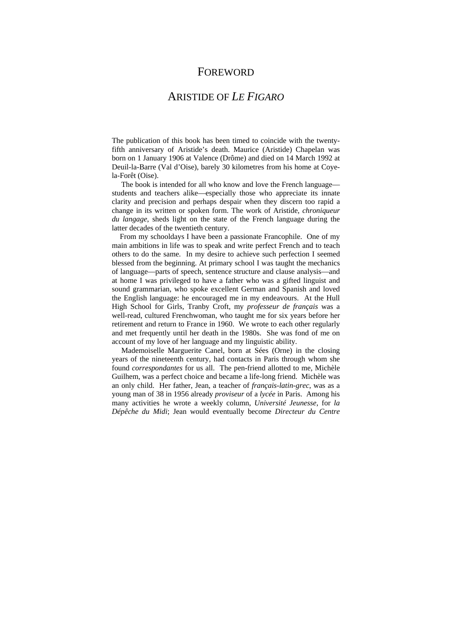### FOREWORD

### ARISTIDE OF *LE FIGARO*

The publication of this book has been timed to coincide with the twentyfifth anniversary of Aristide's death. Maurice (Aristide) Chapelan was born on 1 January 1906 at Valence (Drôme) and died on 14 March 1992 at Deuil-la-Barre (Val d'Oise), barely 30 kilometres from his home at Coyela-Forêt (Oise).

 The book is intended for all who know and love the French language students and teachers alike—especially those who appreciate its innate clarity and precision and perhaps despair when they discern too rapid a change in its written or spoken form. The work of Aristide, *chroniqueur du langage*, sheds light on the state of the French language during the latter decades of the twentieth century.

 From my schooldays I have been a passionate Francophile. One of my main ambitions in life was to speak and write perfect French and to teach others to do the same. In my desire to achieve such perfection I seemed blessed from the beginning. At primary school I was taught the mechanics of language—parts of speech, sentence structure and clause analysis—and at home I was privileged to have a father who was a gifted linguist and sound grammarian, who spoke excellent German and Spanish and loved the English language: he encouraged me in my endeavours. At the Hull High School for Girls, Tranby Croft, my *professeur de français* was a well-read, cultured Frenchwoman, who taught me for six years before her retirement and return to France in 1960. We wrote to each other regularly and met frequently until her death in the 1980s. She was fond of me on account of my love of her language and my linguistic ability.

 Mademoiselle Marguerite Canel, born at Sées (Orne) in the closing years of the nineteenth century, had contacts in Paris through whom she found *correspondantes* for us all. The pen-friend allotted to me, Michèle Guilhem, was a perfect choice and became a life-long friend. Michèle was an only child. Her father, Jean, a teacher of *français-latin-grec*, was as a young man of 38 in 1956 already *proviseur* of a *lycée* in Paris. Among his many activities he wrote a weekly column, *Université Jeunesse*, for *la Dépêche du Midi*; Jean would eventually become *Directeur du Centre*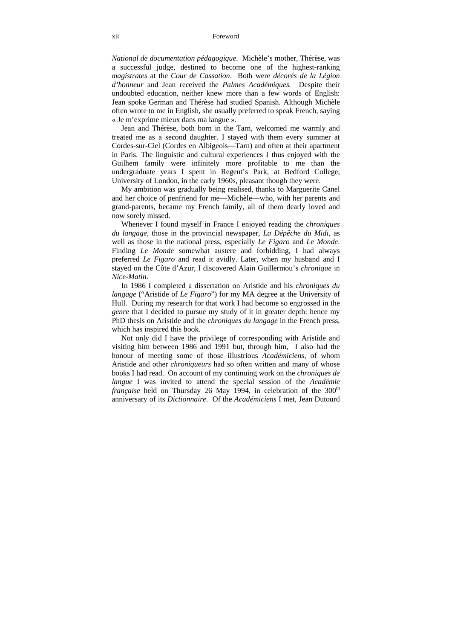#### xii Foreword

*National de documentation pédagogique*. Michèle's mother, Thérèse, was a successful judge, destined to become one of the highest-ranking *magistrates* at the *Cour de Cassation*. Both were *décorés de la Légion d'honneur* and Jean received the *Palmes Académiques.* Despite their undoubted education, neither knew more than a few words of English: Jean spoke German and Thérèse had studied Spanish. Although Michèle often wrote to me in English, she usually preferred to speak French, saying « Je m'exprime mieux dans ma langue ».

 Jean and Thérèse, both born in the Tarn, welcomed me warmly and treated me as a second daughter. I stayed with them every summer at Cordes-sur-Ciel (Cordes en Albigeois—Tarn) and often at their apartment in Paris. The linguistic and cultural experiences I thus enjoyed with the Guilhem family were infinitely more profitable to me than the undergraduate years I spent in Regent's Park, at Bedford College, University of London, in the early 1960s, pleasant though they were.

 My ambition was gradually being realised, thanks to Marguerite Canel and her choice of penfriend for me—Michèle—who, with her parents and grand-parents, became my French family, all of them dearly loved and now sorely missed.

 Whenever I found myself in France I enjoyed reading the *chroniques du langage*, those in the provincial newspaper, *La Dépêche du Midi*, as well as those in the national press, especially *Le Figaro* and *Le Monde*. Finding *Le Monde* somewhat austere and forbidding, I had always preferred *Le Figaro* and read it avidly. Later, when my husband and I stayed on the Côte d'Azur, I discovered Alain Guillermou's *chronique* in *Nice-Matin*.

 In 1986 I completed a dissertation on Aristide and his *chroniques du langage* ("Aristide of *Le Figaro*") for my MA degree at the University of Hull. During my research for that work I had become so engrossed in the *genre* that I decided to pursue my study of it in greater depth: hence my PhD thesis on Aristide and the *chroniques du langage* in the French press, which has inspired this book.

 Not only did I have the privilege of corresponding with Aristide and visiting him between 1986 and 1991 but, through him, I also had the honour of meeting some of those illustrious *Académiciens*, of whom Aristide and other *chroniqueurs* had so often written and many of whose books I had read. On account of my continuing work on the *chroniques de langue* I was invited to attend the special session of the *Académie française* held on Thursday 26 May 1994, in celebration of the 300<sup>th</sup> anniversary of its *Dictionnaire*. Of the *Académiciens* I met, Jean Dutourd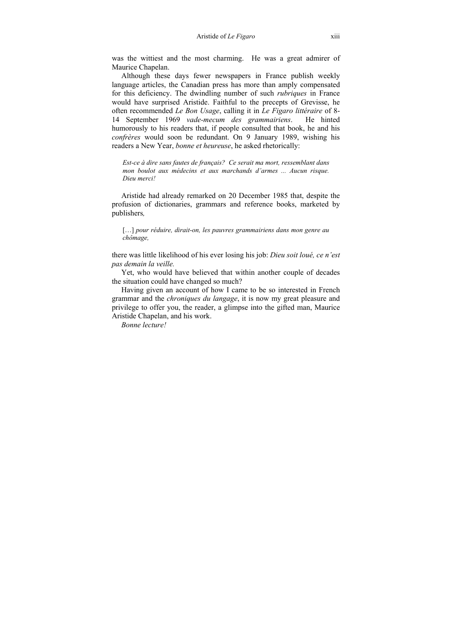was the wittiest and the most charming. He was a great admirer of Maurice Chapelan.

 Although these days fewer newspapers in France publish weekly language articles, the Canadian press has more than amply compensated for this deficiency. The dwindling number of such *rubriques* in France would have surprised Aristide. Faithful to the precepts of Grevisse, he often recommended *Le Bon Usage*, calling it in *Le Figaro littéraire* of 8- 14 September 1969 *vade-mecum des grammairiens*. He hinted humorously to his readers that, if people consulted that book, he and his *confrères* would soon be redundant. On 9 January 1989, wishing his readers a New Year, *bonne et heureuse*, he asked rhetorically:

*Est-ce à dire sans fautes de français? Ce serait ma mort, ressemblant dans mon boulot aux médecins et aux marchands d'armes ... Aucun risque. Dieu merci!* 

 Aristide had already remarked on 20 December 1985 that, despite the profusion of dictionaries, grammars and reference books, marketed by publishers*,*

[…] *pour réduire, dirait-on, les pauvres grammairiens dans mon genre au chômage,*

there was little likelihood of his ever losing his job: *Dieu soit loué, ce n'est pas demain la veille.* 

Yet, who would have believed that within another couple of decades the situation could have changed so much?

 Having given an account of how I came to be so interested in French grammar and the *chroniques du langage*, it is now my great pleasure and privilege to offer you, the reader, a glimpse into the gifted man, Maurice Aristide Chapelan, and his work.

 *Bonne lecture!*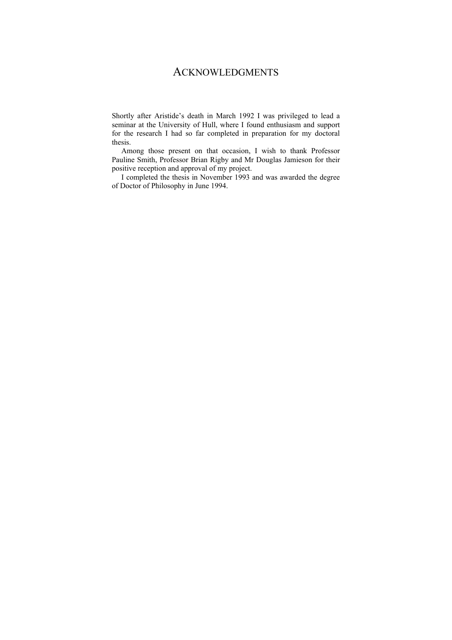## ACKNOWLEDGMENTS

Shortly after Aristide's death in March 1992 I was privileged to lead a seminar at the University of Hull, where I found enthusiasm and support for the research I had so far completed in preparation for my doctoral thesis.

 Among those present on that occasion, I wish to thank Professor Pauline Smith, Professor Brian Rigby and Mr Douglas Jamieson for their positive reception and approval of my project.

 I completed the thesis in November 1993 and was awarded the degree of Doctor of Philosophy in June 1994.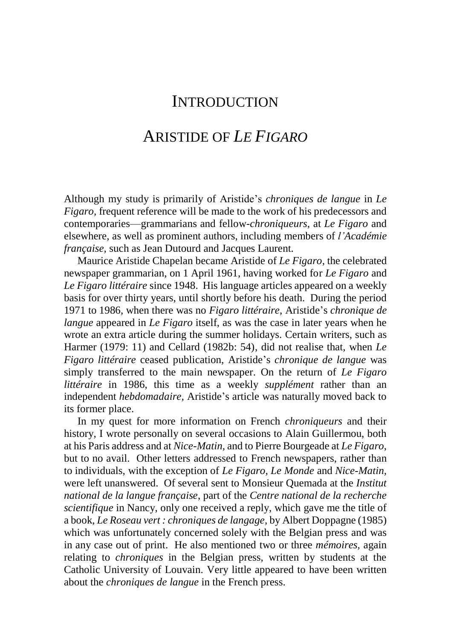## **INTRODUCTION**

### ARISTIDE OF *LE FIGARO*

Although my study is primarily of Aristide's *chroniques de langue* in *Le Figaro, frequent reference will be made to the work of his predecessors and* contemporaries—grammarians and fellow-*chroniqueurs*, at *Le Figaro* and elsewhere, as well as prominent authors, including members of *l'Académie française,* such as Jean Dutourd and Jacques Laurent.

 Maurice Aristide Chapelan became Aristide of *Le Figaro*, the celebrated newspaper grammarian, on 1 April 1961, having worked for *Le Figaro* and *Le Figaro littéraire* since 1948. His language articles appeared on a weekly basis for over thirty years, until shortly before his death. During the period 1971 to 1986, when there was no *Figaro littéraire,* Aristide's *chronique de langue* appeared in *Le Figaro* itself, as was the case in later years when he wrote an extra article during the summer holidays. Certain writers, such as Harmer (1979: 11) and Cellard (1982b: 54), did not realise that, when *Le Figaro littéraire* ceased publication, Aristide's *chronique de langue* was simply transferred to the main newspaper. On the return of *Le Figaro littéraire* in 1986, this time as a weekly *supplément* rather than an independent *hebdomadaire,* Aristide's article was naturally moved back to its former place.

 In my quest for more information on French *chroniqueurs* and their history, I wrote personally on several occasions to Alain Guillermou, both at his Paris address and at *Nice-Matin,* and to Pierre Bourgeade at *Le Figaro*, but to no avail. Other letters addressed to French newspapers, rather than to individuals, with the exception of *Le Figaro, Le Monde* and *Nice-Matin,*  were left unanswered. Of several sent to Monsieur Quemada at the *Institut national de la langue française*, part of the *Centre national de la recherche scientifique* in Nancy, only one received a reply, which gave me the title of a book, *Le Roseau vert : chroniques de langage*, by Albert Doppagne (1985) which was unfortunately concerned solely with the Belgian press and was in any case out of print. He also mentioned two or three *mémoires,* again relating to *chroniques* in the Belgian press, written by students at the Catholic University of Louvain. Very little appeared to have been written about the *chroniques de langue* in the French press.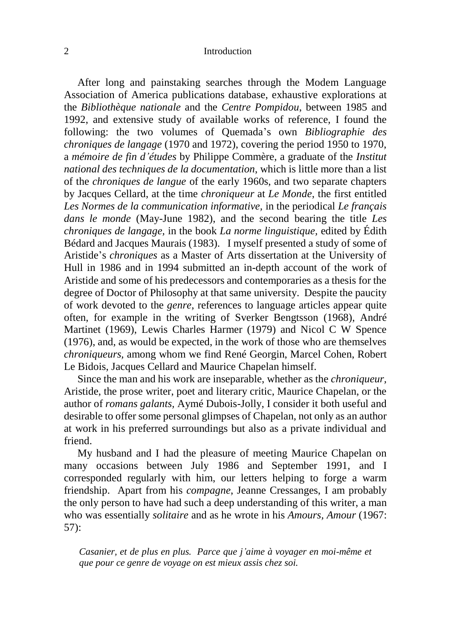#### 2 Introduction

 After long and painstaking searches through the Modem Language Association of America publications database, exhaustive explorations at the *Bibliothèque nationale* and the *Centre Pompidou*, between 1985 and 1992, and extensive study of available works of reference, I found the following: the two volumes of Quemada's own *Bibliographie des chroniques de langage* (1970 and 1972), covering the period 1950 to 1970, a *mémoire de fin d'études* by Philippe Commère, a graduate of the *Institut national des techniques de la documentation*, which is little more than a list of the *chroniques de langue* of the early 1960s, and two separate chapters by Jacques Cellard, at the time *chroniqueur* at *Le Monde*, the first entitled *Les Normes de la communication informative,* in the periodical *Le français dans le monde* (May-June 1982), and the second bearing the title *Les chroniques de langage,* in the book *La norme linguistique,* edited by Édith Bédard and Jacques Maurais (1983). I myself presented a study of some of Aristide's *chroniques* as a Master of Arts dissertation at the University of Hull in 1986 and in 1994 submitted an in-depth account of the work of Aristide and some of his predecessors and contemporaries as a thesis for the degree of Doctor of Philosophy at that same university. Despite the paucity of work devoted to the *genre*, references to language articles appear quite often, for example in the writing of Sverker Bengtsson (1968), André Martinet (1969), Lewis Charles Harmer (1979) and Nicol C W Spence (1976), and, as would be expected, in the work of those who are themselves *chroniqueurs,* among whom we find René Georgin, Marcel Cohen, Robert Le Bidois, Jacques Cellard and Maurice Chapelan himself.

 Since the man and his work are inseparable, whether as the *chroniqueur,*  Aristide, the prose writer, poet and literary critic, Maurice Chapelan, or the author of *romans galants,* Aymé Dubois-Jolly, I consider it both useful and desirable to offer some personal glimpses of Chapelan, not only as an author at work in his preferred surroundings but also as a private individual and friend.

 My husband and I had the pleasure of meeting Maurice Chapelan on many occasions between July 1986 and September 1991, and I corresponded regularly with him, our letters helping to forge a warm friendship. Apart from his *compagne*, Jeanne Cressanges, I am probably the only person to have had such a deep understanding of this writer, a man who was essentially *solitaire* and as he wrote in his *Amours, Amour* (1967: 57):

*Casanier, et de plus en plus. Parce que j'aime à voyager en moi-même et que pour ce genre de voyage on est mieux assis chez soi.*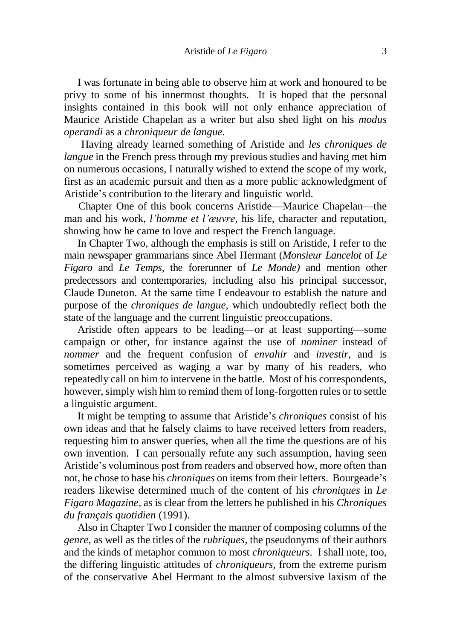I was fortunate in being able to observe him at work and honoured to be privy to some of his innermost thoughts. It is hoped that the personal insights contained in this book will not only enhance appreciation of Maurice Aristide Chapelan as a writer but also shed light on his *modus operandi* as a *chroniqueur de langue.*

 Having already learned something of Aristide and *les chroniques de langue* in the French press through my previous studies and having met him on numerous occasions, I naturally wished to extend the scope of my work, first as an academic pursuit and then as a more public acknowledgment of Aristide's contribution to the literary and linguistic world.

Chapter One of this book concerns Aristide—Maurice Chapelan—the man and his work, *l'homme et l'œuvre*, his life, character and reputation, showing how he came to love and respect the French language.

 In Chapter Two, although the emphasis is still on Aristide, I refer to the main newspaper grammarians since Abel Hermant (*Monsieur Lancelot* of *Le Figaro* and *Le Temps,* the forerunner of *Le Monde)* and mention other predecessors and contemporaries, including also his principal successor, Claude Duneton. At the same time I endeavour to establish the nature and purpose of the *chroniques de langue,* which undoubtedly reflect both the state of the language and the current linguistic preoccupations.

 Aristide often appears to be leading—or at least supporting—some campaign or other, for instance against the use of *nominer* instead of *nommer* and the frequent confusion of *envahir* and *investir*, and is sometimes perceived as waging a war by many of his readers, who repeatedly call on him to intervene in the battle. Most of his correspondents, however, simply wish him to remind them of long-forgotten rules or to settle a linguistic argument.

 It might be tempting to assume that Aristide's *chroniques* consist of his own ideas and that he falsely claims to have received letters from readers, requesting him to answer queries, when all the time the questions are of his own invention. I can personally refute any such assumption, having seen Aristide's voluminous post from readers and observed how, more often than not, he chose to base his *chroniques* on items from their letters. Bourgeade's readers likewise determined much of the content of his *chroniques* in *Le Figaro Magazine,* as is clear from the letters he published in his *Chroniques du français quotidien* (1991).

 Also in Chapter Two I consider the manner of composing columns of the *genre*, as well as the titles of the *rubriques,* the pseudonyms of their authors and the kinds of metaphor common to most *chroniqueurs*. I shall note, too, the differing linguistic attitudes of *chroniqueurs,* from the extreme purism of the conservative Abel Hermant to the almost subversive laxism of the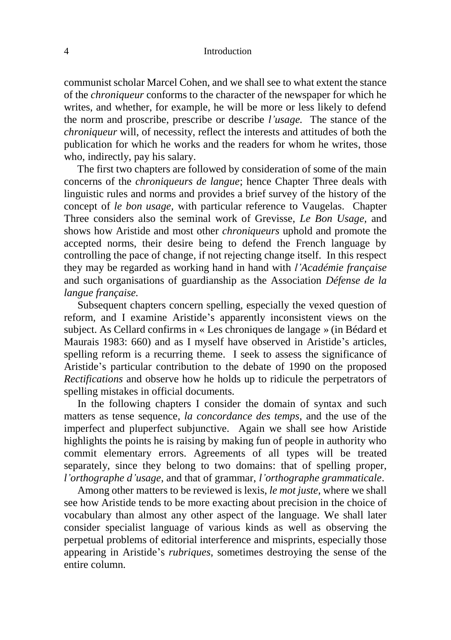#### 4 Introduction

communist scholar Marcel Cohen, and we shall see to what extent the stance of the *chroniqueur* conforms to the character of the newspaper for which he writes, and whether, for example, he will be more or less likely to defend the norm and proscribe, prescribe or describe *l'usage.* The stance of the *chroniqueur* will, of necessity, reflect the interests and attitudes of both the publication for which he works and the readers for whom he writes, those who, indirectly, pay his salary.

 The first two chapters are followed by consideration of some of the main concerns of the *chroniqueurs de langue*; hence Chapter Three deals with linguistic rules and norms and provides a brief survey of the history of the concept of *le bon usage,* with particular reference to Vaugelas. Chapter Three considers also the seminal work of Grevisse, *Le Bon Usage,* and shows how Aristide and most other *chroniqueurs* uphold and promote the accepted norms, their desire being to defend the French language by controlling the pace of change, if not rejecting change itself. In this respect they may be regarded as working hand in hand with *l'Académie française*  and such organisations of guardianship as the Association *Défense de la langue française.* 

 Subsequent chapters concern spelling, especially the vexed question of reform, and I examine Aristide's apparently inconsistent views on the subject. As Cellard confirms in « Les chroniques de langage » (in Bédard et Maurais 1983: 660) and as I myself have observed in Aristide's articles, spelling reform is a recurring theme. I seek to assess the significance of Aristide's particular contribution to the debate of 1990 on the proposed *Rectifications* and observe how he holds up to ridicule the perpetrators of spelling mistakes in official documents.

 In the following chapters I consider the domain of syntax and such matters as tense sequence, *la concordance des temps*, and the use of the imperfect and pluperfect subjunctive. Again we shall see how Aristide highlights the points he is raising by making fun of people in authority who commit elementary errors. Agreements of all types will be treated separately, since they belong to two domains: that of spelling proper, *l'orthographe d'usage*, and that of grammar, *l'orthographe grammaticale*.

 Among other matters to be reviewed is lexis, *le mot juste*, where we shall see how Aristide tends to be more exacting about precision in the choice of vocabulary than almost any other aspect of the language. We shall later consider specialist language of various kinds as well as observing the perpetual problems of editorial interference and misprints, especially those appearing in Aristide's *rubriques*, sometimes destroying the sense of the entire column.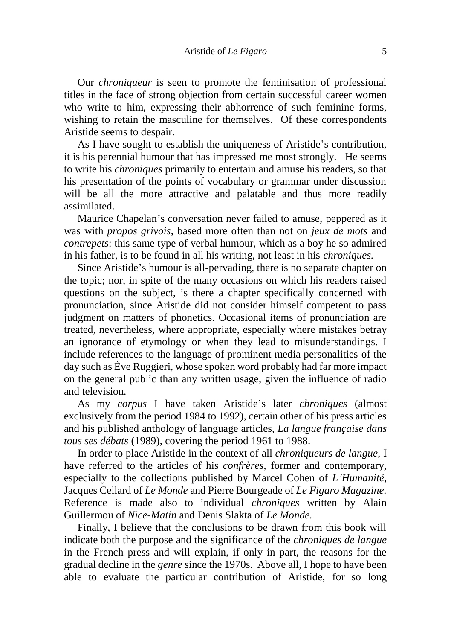Our *chroniqueur* is seen to promote the feminisation of professional titles in the face of strong objection from certain successful career women who write to him, expressing their abhorrence of such feminine forms, wishing to retain the masculine for themselves. Of these correspondents Aristide seems to despair.

 As I have sought to establish the uniqueness of Aristide's contribution, it is his perennial humour that has impressed me most strongly. He seems to write his *chroniques* primarily to entertain and amuse his readers, so that his presentation of the points of vocabulary or grammar under discussion will be all the more attractive and palatable and thus more readily assimilated.

 Maurice Chapelan's conversation never failed to amuse, peppered as it was with *propos grivois*, based more often than not on *jeux de mots* and *contrepets*: this same type of verbal humour, which as a boy he so admired in his father, is to be found in all his writing, not least in his *chroniques.* 

 Since Aristide's humour is all-pervading, there is no separate chapter on the topic; nor, in spite of the many occasions on which his readers raised questions on the subject, is there a chapter specifically concerned with pronunciation, since Aristide did not consider himself competent to pass judgment on matters of phonetics. Occasional items of pronunciation are treated, nevertheless, where appropriate, especially where mistakes betray an ignorance of etymology or when they lead to misunderstandings. I include references to the language of prominent media personalities of the day such as Ève Ruggieri, whose spoken word probably had far more impact on the general public than any written usage, given the influence of radio and television.

 As my *corpus* I have taken Aristide's later *chroniques* (almost exclusively from the period 1984 to 1992), certain other of his press articles and his published anthology of language articles, *La langue française dans tous ses débats* (1989), covering the period 1961 to 1988.

 In order to place Aristide in the context of all *chroniqueurs de langue,* I have referred to the articles of his *confrères,* former and contemporary, especially to the collections published by Marcel Cohen of *L'Humanité,*  Jacques Cellard of *Le Monde* and Pierre Bourgeade of *Le Figaro Magazine.*  Reference is made also to individual *chroniques* written by Alain Guillermou of *Nice-Matin* and Denis Slakta of *Le Monde.*

 Finally, I believe that the conclusions to be drawn from this book will indicate both the purpose and the significance of the *chroniques de langue*  in the French press and will explain, if only in part, the reasons for the gradual decline in the *genre* since the 1970s. Above all, I hope to have been able to evaluate the particular contribution of Aristide, for so long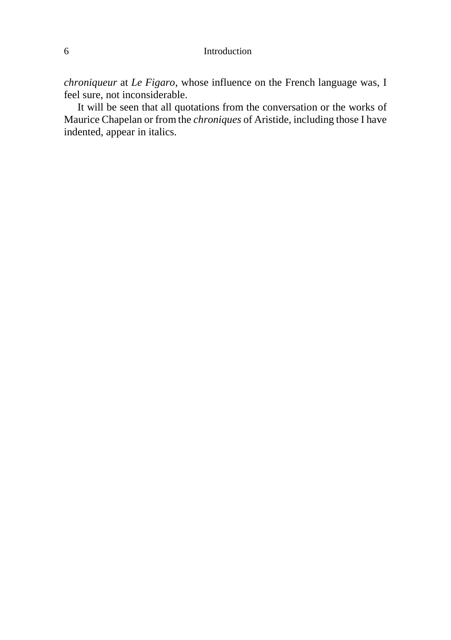#### 6 Introduction

*chroniqueur* at *Le Figaro*, whose influence on the French language was, I feel sure, not inconsiderable.

 It will be seen that all quotations from the conversation or the works of Maurice Chapelan or from the *chroniques* of Aristide, including those I have indented, appear in italics.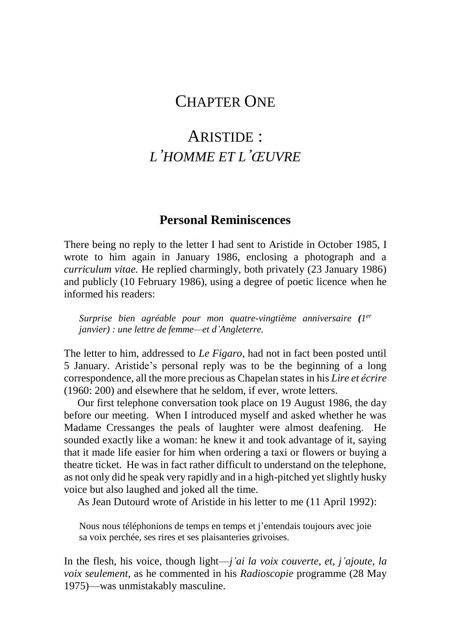## CHAPTER ONE

## ARISTIDE : *L'HOMME ET L'ŒUVRE*

#### **Personal Reminiscences**

There being no reply to the letter I had sent to Aristide in October 1985, I wrote to him again in January 1986, enclosing a photograph and a *curriculum vitae.* He replied charmingly, both privately (23 January 1986) and publicly (10 February 1986), using a degree of poetic licence when he informed his readers:

*Surprise bien agréable pour mon quatre-vingtième anniversaire (1 er janvier) : une lettre de femme—et d'Angleterre.* 

The letter to him, addressed to *Le Figaro*, had not in fact been posted until 5 January. Aristide's personal reply was to be the beginning of a long correspondence, all the more precious as Chapelan states in his *Lire et écrire*  (1960: 200) and elsewhere that he seldom, if ever, wrote letters.

 Our first telephone conversation took place on 19 August 1986, the day before our meeting. When I introduced myself and asked whether he was Madame Cressanges the peals of laughter were almost deafening. He sounded exactly like a woman: he knew it and took advantage of it, saying that it made life easier for him when ordering a taxi or flowers or buying a theatre ticket. He was in fact rather difficult to understand on the telephone, as not only did he speak very rapidly and in a high-pitched yet slightly husky voice but also laughed and joked all the time.

As Jean Dutourd wrote of Aristide in his letter to me (11 April 1992):

Nous nous téléphonions de temps en temps et j'entendais toujours avec joie sa voix perchée, ses rires et ses plaisanteries grivoises.

In the flesh, his voice, though light—*j'ai la voix couverte, et, j'ajoute, la voix seulement*, as he commented in his *Radioscopie* programme (28 May 1975)—was unmistakably masculine.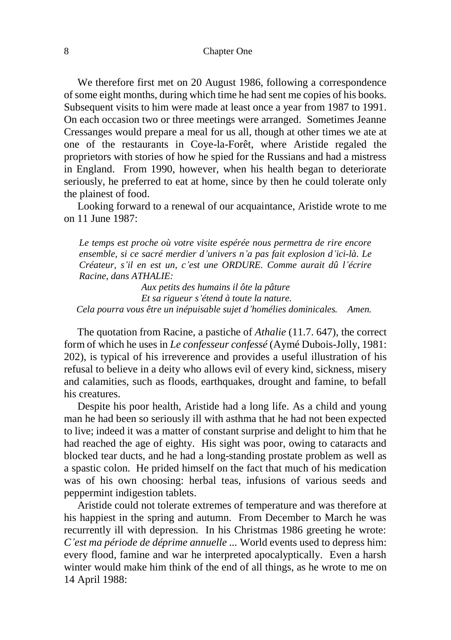We therefore first met on 20 August 1986, following a correspondence of some eight months, during which time he had sent me copies of his books. Subsequent visits to him were made at least once a year from 1987 to 1991. On each occasion two or three meetings were arranged. Sometimes Jeanne Cressanges would prepare a meal for us all, though at other times we ate at one of the restaurants in Coye-la-Forêt, where Aristide regaled the proprietors with stories of how he spied for the Russians and had a mistress in England. From 1990, however, when his health began to deteriorate seriously, he preferred to eat at home, since by then he could tolerate only the plainest of food.

 Looking forward to a renewal of our acquaintance, Aristide wrote to me on 11 June 1987:

*Le temps est proche où votre visite espérée nous permettra de rire encore ensemble, si ce sacré merdier d'univers n'a pas fait explosion d'ici-là. Le Créateur, s'il en est un, c'est une ORDURE. Comme aurait dû l'écrire Racine, dans ATHALIE:* 

*Aux petits des humains il ôte la pâture Et sa rigueur s'étend à toute la nature. Cela pourra vous être un inépuisable sujet d'homélies dominicales. Amen.*

 The quotation from Racine, a pastiche of *Athalie* (11.7. 647), the correct form of which he uses in *Le confesseur confessé* (Aymé Dubois-Jolly, 1981: 202), is typical of his irreverence and provides a useful illustration of his refusal to believe in a deity who allows evil of every kind, sickness, misery and calamities, such as floods, earthquakes, drought and famine, to befall his creatures.

 Despite his poor health, Aristide had a long life. As a child and young man he had been so seriously ill with asthma that he had not been expected to live; indeed it was a matter of constant surprise and delight to him that he had reached the age of eighty. His sight was poor, owing to cataracts and blocked tear ducts, and he had a long-standing prostate problem as well as a spastic colon. He prided himself on the fact that much of his medication was of his own choosing: herbal teas, infusions of various seeds and peppermint indigestion tablets.

 Aristide could not tolerate extremes of temperature and was therefore at his happiest in the spring and autumn. From December to March he was recurrently ill with depression. In his Christmas 1986 greeting he wrote: *C'est ma période de déprime annuelle ...* World events used to depress him: every flood, famine and war he interpreted apocalyptically. Even a harsh winter would make him think of the end of all things, as he wrote to me on 14 April 1988: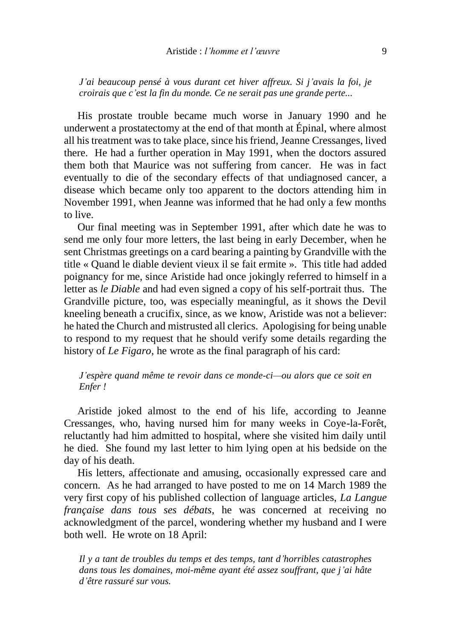*J'ai beaucoup pensé à vous durant cet hiver affreux. Si j'avais la foi, je croirais que c'est la fin du monde. Ce ne serait pas une grande perte...*

 His prostate trouble became much worse in January 1990 and he underwent a prostatectomy at the end of that month at Épinal, where almost all his treatment was to take place, since his friend, Jeanne Cressanges, lived there. He had a further operation in May 1991, when the doctors assured them both that Maurice was not suffering from cancer. He was in fact eventually to die of the secondary effects of that undiagnosed cancer, a disease which became only too apparent to the doctors attending him in November 1991, when Jeanne was informed that he had only a few months to live.

 Our final meeting was in September 1991, after which date he was to send me only four more letters, the last being in early December, when he sent Christmas greetings on a card bearing a painting by Grandville with the title « Quand le diable devient vieux il se fait ermite ». This title had added poignancy for me, since Aristide had once jokingly referred to himself in a letter as *le Diable* and had even signed a copy of his self-portrait thus. The Grandville picture, too, was especially meaningful, as it shows the Devil kneeling beneath a crucifix, since, as we know, Aristide was not a believer: he hated the Church and mistrusted all clerics. Apologising for being unable to respond to my request that he should verify some details regarding the history of *Le Figaro*, he wrote as the final paragraph of his card:

*J'espère quand même te revoir dans ce monde-ci—ou alors que ce soit en Enfer !*

 Aristide joked almost to the end of his life, according to Jeanne Cressanges, who, having nursed him for many weeks in Coye-la-Forêt, reluctantly had him admitted to hospital, where she visited him daily until he died. She found my last letter to him lying open at his bedside on the day of his death.

 His letters, affectionate and amusing, occasionally expressed care and concern. As he had arranged to have posted to me on 14 March 1989 the very first copy of his published collection of language articles, *La Langue française dans tous ses débats*, he was concerned at receiving no acknowledgment of the parcel, wondering whether my husband and I were both well. He wrote on 18 April:

*Il y a tant de troubles du temps et des temps, tant d'horribles catastrophes dans tous les domaines, moi-même ayant été assez souffrant, que j'ai hâte d'être rassuré sur vous.*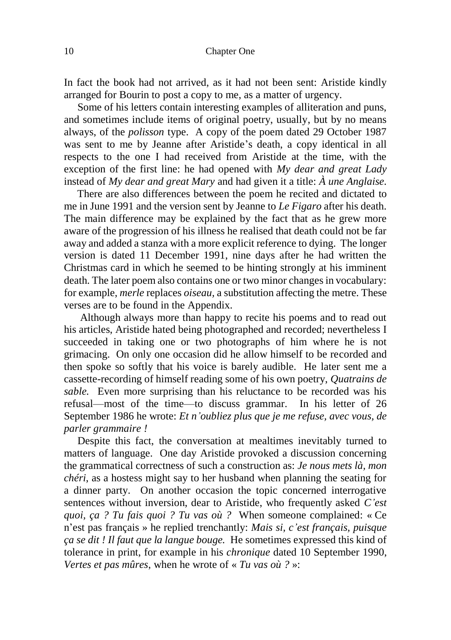In fact the book had not arrived, as it had not been sent: Aristide kindly arranged for Bourin to post a copy to me, as a matter of urgency.

 Some of his letters contain interesting examples of alliteration and puns, and sometimes include items of original poetry, usually, but by no means always, of the *polisson* type. A copy of the poem dated 29 October 1987 was sent to me by Jeanne after Aristide's death, a copy identical in all respects to the one I had received from Aristide at the time, with the exception of the first line: he had opened with *My dear and great Lady*  instead of *My dear and great Mary* and had given it a title: *À une Anglaise.*

 There are also differences between the poem he recited and dictated to me in June 1991 and the version sent by Jeanne to *Le Figaro* after his death. The main difference may be explained by the fact that as he grew more aware of the progression of his illness he realised that death could not be far away and added a stanza with a more explicit reference to dying. The longer version is dated 11 December 1991, nine days after he had written the Christmas card in which he seemed to be hinting strongly at his imminent death. The later poem also contains one or two minor changes in vocabulary: for example, *merle* replaces *oiseau,* a substitution affecting the metre. These verses are to be found in the Appendix.

 Although always more than happy to recite his poems and to read out his articles, Aristide hated being photographed and recorded; nevertheless I succeeded in taking one or two photographs of him where he is not grimacing. On only one occasion did he allow himself to be recorded and then spoke so softly that his voice is barely audible. He later sent me a cassette-recording of himself reading some of his own poetry, *Quatrains de sable.* Even more surprising than his reluctance to be recorded was his refusal—most of the time—to discuss grammar. In his letter of 26 September 1986 he wrote: *Et n'oubliez plus que je me refuse, avec vous, de parler grammaire !*

 Despite this fact, the conversation at mealtimes inevitably turned to matters of language. One day Aristide provoked a discussion concerning the grammatical correctness of such a construction as: *Je nous mets là, mon chéri*, as a hostess might say to her husband when planning the seating for a dinner party. On another occasion the topic concerned interrogative sentences without inversion, dear to Aristide, who frequently asked *C'est quoi, ça ? Tu fais quoi ? Tu vas où ?* When someone complained: « Ce n'est pas français » he replied trenchantly: *Mais si, c'est français, puisque ça se dit ! Il faut que la langue bouge.* He sometimes expressed this kind of tolerance in print, for example in his *chronique* dated 10 September 1990, *Vertes et pas mûres*, when he wrote of « *Tu vas où ?* »: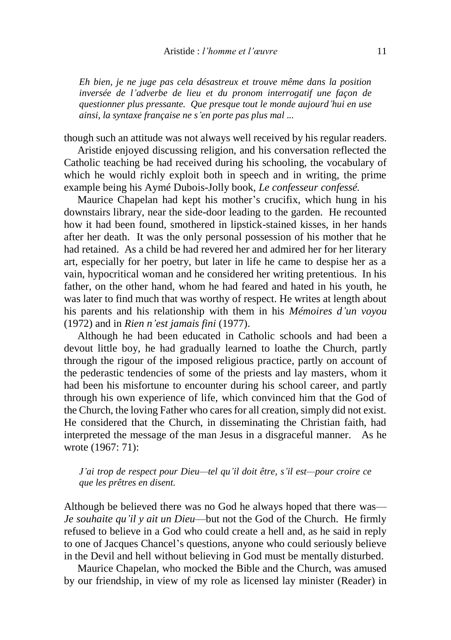*Eh bien, je ne juge pas cela désastreux et trouve même dans la position inversée de l'adverbe de lieu et du pronom interrogatif une façon de questionner plus pressante. Que presque tout le monde aujourd'hui en use ainsi, la syntaxe française ne s'en porte pas plus mal ...*

though such an attitude was not always well received by his regular readers.

 Aristide enjoyed discussing religion, and his conversation reflected the Catholic teaching be had received during his schooling, the vocabulary of which he would richly exploit both in speech and in writing, the prime example being his Aymé Dubois-Jolly book, *Le confesseur confessé.*

 Maurice Chapelan had kept his mother's crucifix, which hung in his downstairs library, near the side-door leading to the garden. He recounted how it had been found, smothered in lipstick-stained kisses, in her hands after her death. It was the only personal possession of his mother that he had retained. As a child be had revered her and admired her for her literary art, especially for her poetry, but later in life he came to despise her as a vain, hypocritical woman and he considered her writing pretentious. In his father, on the other hand, whom he had feared and hated in his youth, he was later to find much that was worthy of respect. He writes at length about his parents and his relationship with them in his *Mémoires d'un voyou*  (1972) and in *Rien n'est jamais fini* (1977).

 Although he had been educated in Catholic schools and had been a devout little boy, he had gradually learned to loathe the Church, partly through the rigour of the imposed religious practice, partly on account of the pederastic tendencies of some of the priests and lay masters, whom it had been his misfortune to encounter during his school career, and partly through his own experience of life, which convinced him that the God of the Church, the loving Father who cares for all creation, simply did not exist. He considered that the Church, in disseminating the Christian faith, had interpreted the message of the man Jesus in a disgraceful manner. As he wrote (1967: 71):

#### *J'ai trop de respect pour Dieu—tel qu'il doit être, s'il est—pour croire ce que les prêtres en disent.*

Although be believed there was no God he always hoped that there was— *Je souhaite qu'il y ait un Dieu*—but not the God of the Church. He firmly refused to believe in a God who could create a hell and, as he said in reply to one of Jacques Chancel's questions, anyone who could seriously believe in the Devil and hell without believing in God must be mentally disturbed.

 Maurice Chapelan, who mocked the Bible and the Church, was amused by our friendship, in view of my role as licensed lay minister (Reader) in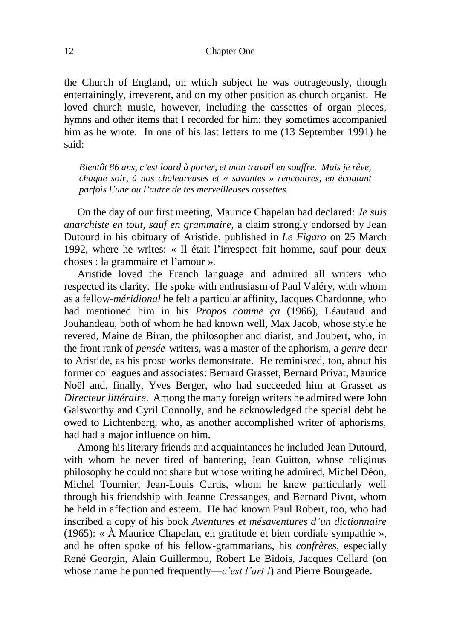12 Chapter One

the Church of England, on which subject he was outrageously, though entertainingly, irreverent, and on my other position as church organist. He loved church music, however, including the cassettes of organ pieces, hymns and other items that I recorded for him: they sometimes accompanied him as he wrote. In one of his last letters to me (13 September 1991) he said:

*Bientôt 86 ans, c'est lourd à porter, et mon travail en souffre. Mais je rêve, chaque soir, à nos chaleureuses et « savantes » rencontres, en écoutant parfois l'une ou l'autre de tes merveilleuses cassettes.*

 On the day of our first meeting, Maurice Chapelan had declared: *Je suis anarchiste en tout, sauf en grammaire,* a claim strongly endorsed by Jean Dutourd in his obituary of Aristide, published in *Le Figaro* on 25 March 1992, where he writes: « Il était l'irrespect fait homme, sauf pour deux choses : la grammaire et l'amour ».

 Aristide loved the French language and admired all writers who respected its clarity. He spoke with enthusiasm of Paul Valéry, with whom as a fellow*-méridional* he felt a particular affinity, Jacques Chardonne, who had mentioned him in his *Propos comme ça* (1966), Léautaud and Jouhandeau, both of whom he had known well, Max Jacob, whose style he revered, Maine de Biran, the philosopher and diarist, and Joubert, who, in the front rank of *pensée*-writers, was a master of the aphorism, a *genre* dear to Aristide, as his prose works demonstrate. He reminisced, too, about his former colleagues and associates: Bernard Grasset, Bernard Privat, Maurice Noël and, finally, Yves Berger, who had succeeded him at Grasset as *Directeur littéraire*.Among the many foreign writers he admired were John Galsworthy and Cyril Connolly, and he acknowledged the special debt he owed to Lichtenberg, who, as another accomplished writer of aphorisms, had had a major influence on him.

 Among his literary friends and acquaintances he included Jean Dutourd, with whom he never tired of bantering, Jean Guitton, whose religious philosophy he could not share but whose writing he admired, Michel Déon, Michel Tournier, Jean-Louis Curtis, whom he knew particularly well through his friendship with Jeanne Cressanges, and Bernard Pivot, whom he held in affection and esteem. He had known Paul Robert, too, who had inscribed a copy of his book *Aventures et mésaventures d'un dictionnaire*  (1965): « À Maurice Chapelan, en gratitude et bien cordiale sympathie », and he often spoke of his fellow-grammarians, his *confrères,* especially René Georgin, Alain Guillermou, Robert Le Bidois, Jacques Cellard (on whose name he punned frequently—*c'est l'art !*) and Pierre Bourgeade.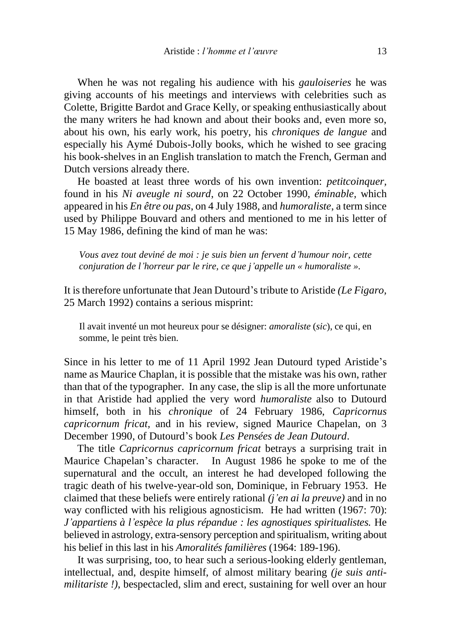When he was not regaling his audience with his *gauloiseries* he was giving accounts of his meetings and interviews with celebrities such as Colette, Brigitte Bardot and Grace Kelly, or speaking enthusiastically about the many writers he had known and about their books and, even more so, about his own, his early work, his poetry, his *chroniques de langue* and especially his Aymé Dubois-Jolly books, which he wished to see gracing his book-shelves in an English translation to match the French, German and Dutch versions already there.

 He boasted at least three words of his own invention: *petitcoinquer,*  found in his *Ni aveugle ni sourd*, on 22 October 1990, *éminable,* which appeared in his *En être ou pas*, on 4 July 1988, and *humoraliste*, a term since used by Philippe Bouvard and others and mentioned to me in his letter of 15 May 1986, defining the kind of man he was:

*Vous avez tout deviné de moi : je suis bien un fervent d'humour noir, cette conjuration de l'horreur par le rire, ce que j'appelle un « humoraliste ».* 

It is therefore unfortunate that Jean Dutourd's tribute to Aristide *(Le Figaro,*  25 March 1992) contains a serious misprint:

Il avait inventé un mot heureux pour se désigner: *amoraliste* (*sic*), ce qui, en somme, le peint très bien.

Since in his letter to me of 11 April 1992 Jean Dutourd typed Aristide's name as Maurice Chaplan, it is possible that the mistake was his own, rather than that of the typographer. In any case, the slip is all the more unfortunate in that Aristide had applied the very word *humoraliste* also to Dutourd himself, both in his *chronique* of 24 February 1986, *Capricornus capricornum fricat,* and in his review, signed Maurice Chapelan, on 3 December 1990, of Dutourd's book *Les Pensées de Jean Dutourd*.

 The title *Capricornus capricornum fricat* betrays a surprising trait in Maurice Chapelan's character. In August 1986 he spoke to me of the supernatural and the occult, an interest he had developed following the tragic death of his twelve-year-old son, Dominique, in February 1953. He claimed that these beliefs were entirely rational *(j'en ai la preuve)* and in no way conflicted with his religious agnosticism. He had written (1967: 70): *J'appartiens à l'espèce la plus répandue : les agnostiques spiritualistes.* He believed in astrology, extra-sensory perception and spiritualism, writing about his belief in this last in his *Amoralités familières* (1964: 189-196).

 It was surprising, too, to hear such a serious-looking elderly gentleman, intellectual, and, despite himself, of almost military bearing *(je suis antimilitariste !)*, bespectacled, slim and erect, sustaining for well over an hour